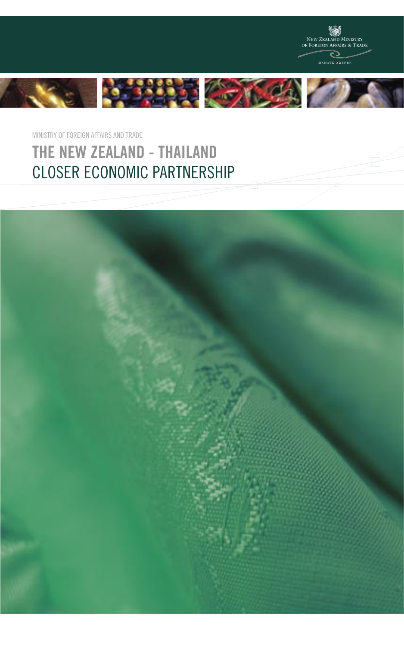

ЪŃ NEW ZEALAND MINISTRY సె

MINISTRY OF FOREIGN AFFAIRS AND TRADE **THE NEW ZEALAND - THAILAND** CLOSER ECONOMIC PARTNERSHIP

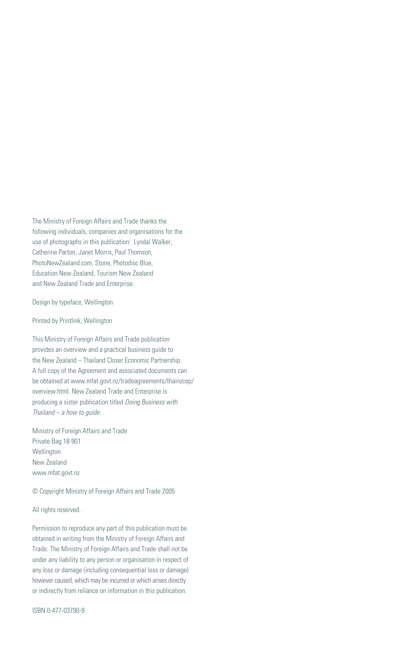The Ministry of Foreign Affairs and Trade thanks the following individuals, companies and organisations for the use of photographs in this publication: Lyndal Walker, Catherine Parton, Janet Morris, Paul Thomson, PhotoNewZealand.com, Stone, Photodisc Blue, Education New Zealand, Tourism New Zealand and New Zealand Trade and Enterprise.

Design by typeface, Wellington

Printed by Printlink, Wellington

This Ministry of Foreign Affairs and Trade publication provides an overview and a practical business guide to the New Zealand – Thailand Closer Economic Partnership. A full copy of the Agreement and associated documents can be obtained at www.mfat.govt.nz/tradeagreements/thainzcep/ overview.html. New Zealand Trade and Enterprise is producing a sister publication titled Doing Business with Thailand – a how to guide.

Ministry of Foreign Affairs and Trade Private Bag 18-901 **Wellington** New Zealand www.mfat.govt.nz

#### © Copyright Ministry of Foreign Affairs and Trade 2005

#### All rights reserved.

Permission to reproduce any part of this publication must be obtained in writing from the Ministry of Foreign Affairs and Trade. The Ministry of Foreign Affairs and Trade shall not be under any liability to any person or organisation in respect of any loss or damage (including consequential loss or damage) however caused, which may be incurred or which arises directly or indirectly from reliance on information in this publication.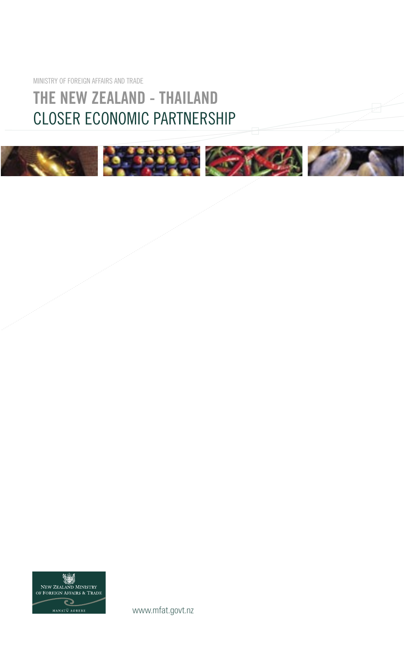MINISTRY OF FOREIGN AFFAIRS AND TRADE

### **THE NEW ZEALAND - THAILAND** CLOSER ECONOMIC PARTNERSHIP





www.mfat.govt.nz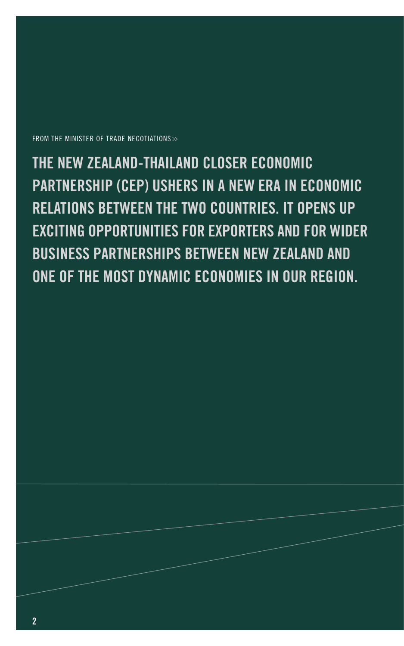FROM THE MINISTER OF TRADE NEGOTIATIONS $\gg$ 

**THE NEW ZEALAND-THAILAND CLOSER ECONOMIC PARTNERSHIP (CEP) USHERS IN A NEW ERA IN ECONOMIC RELATIONS BETWEEN THE TWO COUNTRIES. IT OPENS UP EXCITING OPPORTUNITIES FOR EXPORTERS AND FOR WIDER BUSINESS PARTNERSHIPS BETWEEN NEW ZEALAND AND ONE OF THE MOST DYNAMIC ECONOMIES IN OUR REGION.**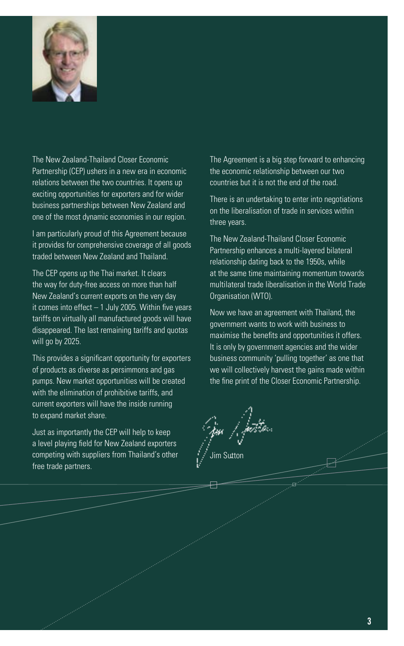

The New Zealand-Thailand Closer Economic Partnership (CEP) ushers in a new era in economic relations between the two countries. It opens up exciting opportunities for exporters and for wider business partnerships between New Zealand and one of the most dynamic economies in our region.

I am particularly proud of this Agreement because it provides for comprehensive coverage of all goods traded between New Zealand and Thailand.

The CEP opens up the Thai market. It clears the way for duty-free access on more than half New Zealand's current exports on the very day it comes into effect – 1 July 2005. Within five years tariffs on virtually all manufactured goods will have disappeared. The last remaining tariffs and quotas will go by 2025.

This provides a significant opportunity for exporters of products as diverse as persimmons and gas pumps. New market opportunities will be created with the elimination of prohibitive tariffs, and current exporters will have the inside running to expand market share.

Just as importantly the CEP will help to keep a level playing field for New Zealand exporters competing with suppliers from Thailand's other free trade partners.

The Agreement is a big step forward to enhancing the economic relationship between our two countries but it is not the end of the road.

There is an undertaking to enter into negotiations on the liberalisation of trade in services within three years.

The New Zealand-Thailand Closer Economic Partnership enhances a multi-layered bilateral relationship dating back to the 1950s, while at the same time maintaining momentum towards multilateral trade liberalisation in the World Trade Organisation (WTO).

Now we have an agreement with Thailand, the government wants to work with business to maximise the benefits and opportunities it offers. It is only by government agencies and the wider business community 'pulling together' as one that we will collectively harvest the gains made within the fine print of the Closer Economic Partnership.

Jun  $\sqrt{\frac{1}{2}}$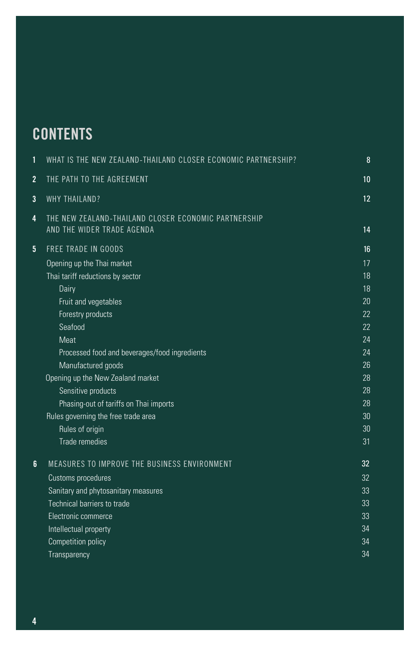### **CONTENTS**

| 1              | WHAT IS THE NEW ZEALAND-THAILAND CLOSER ECONOMIC PARTNERSHIP?                      | 8  |
|----------------|------------------------------------------------------------------------------------|----|
| $\overline{2}$ | THE PATH TO THE AGREEMENT                                                          | 10 |
| 3              | WHY THAILAND?                                                                      | 12 |
| 4              | THE NEW ZEALAND-THAILAND CLOSER ECONOMIC PARTNERSHIP<br>AND THE WIDER TRADE AGENDA | 14 |
| 5              | FREE TRADE IN GOODS                                                                | 16 |
|                | Opening up the Thai market                                                         | 17 |
|                | Thai tariff reductions by sector                                                   | 18 |
|                | Dairy                                                                              | 18 |
|                | Fruit and vegetables                                                               | 20 |
|                | Forestry products                                                                  | 22 |
|                | Seafood                                                                            | 22 |
|                | Meat                                                                               | 24 |
|                | Processed food and beverages/food ingredients                                      | 24 |
|                | Manufactured goods                                                                 | 26 |
|                | Opening up the New Zealand market                                                  | 28 |
|                | Sensitive products                                                                 | 28 |
|                | Phasing-out of tariffs on Thai imports                                             | 28 |
|                | Rules governing the free trade area                                                | 30 |
|                | Rules of origin                                                                    | 30 |
|                | Trade remedies                                                                     | 31 |
| 6              | MEASURES TO IMPROVE THE BUSINESS ENVIRONMENT                                       | 32 |
|                | Customs procedures                                                                 | 32 |
|                | Sanitary and phytosanitary measures                                                | 33 |
|                | Technical barriers to trade                                                        | 33 |
|                | Electronic commerce                                                                | 33 |
|                | Intellectual property                                                              | 34 |
|                | Competition policy                                                                 | 34 |
|                | Transparency                                                                       | 34 |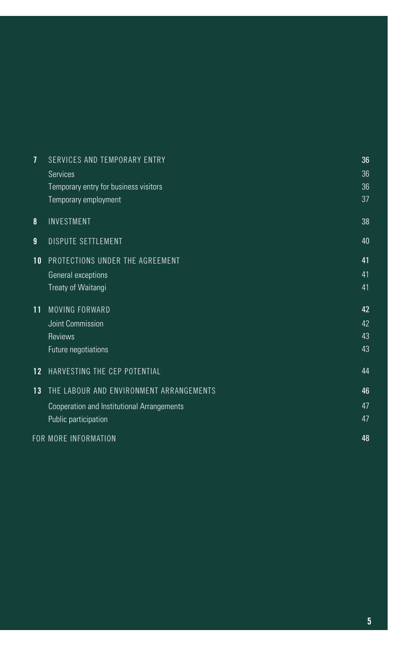| $\overline{\mathbf{I}}$ | SERVICES AND TEMPORARY ENTRY               | 36 |
|-------------------------|--------------------------------------------|----|
|                         | <b>Services</b>                            | 36 |
|                         | Temporary entry for business visitors      | 36 |
|                         | Temporary employment                       | 37 |
| 8                       | <b>INVESTMENT</b>                          | 38 |
| $\overline{9}$          | DISPUTE SETTLEMENT                         | 40 |
| 10                      | PROTECTIONS UNDER THE AGREEMENT            | 41 |
|                         | General exceptions                         | 41 |
|                         | Treaty of Waitangi                         | 41 |
| 11                      | MOVING FORWARD                             | 42 |
|                         | Joint Commission                           | 42 |
|                         | Reviews                                    | 43 |
|                         | Future negotiations                        | 43 |
| 12                      | HARVESTING THE CEP POTENTIAL               | 44 |
| 13                      | THE LABOUR AND ENVIRONMENT ARRANGEMENTS    | 46 |
|                         | Cooperation and Institutional Arrangements | 47 |
|                         | Public participation                       | 47 |
|                         | FOR MORE INFORMATION                       | 48 |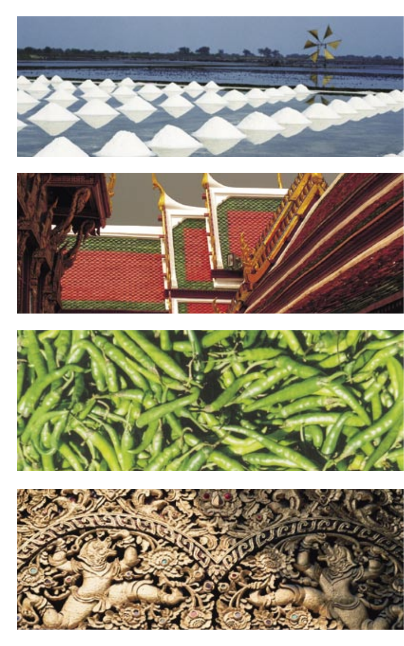





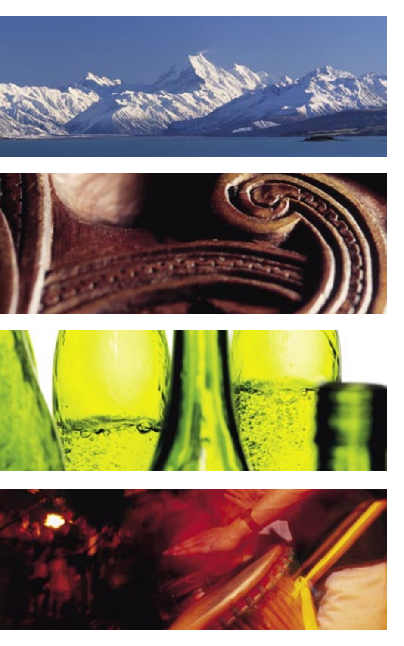





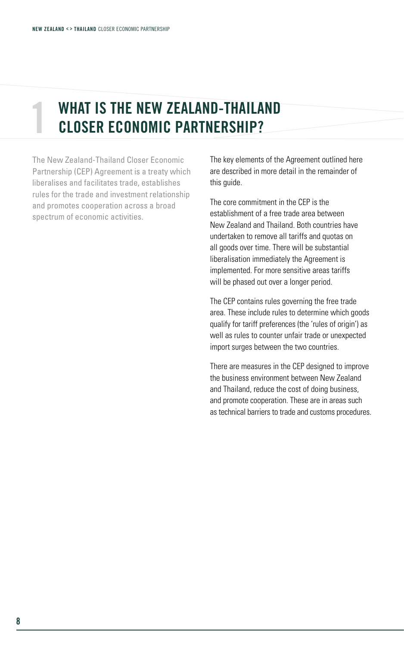### **WHAT IS THE NEW ZEALAND-THAILAND**<br>**CLOSER ECONOMIC PARTNERSHIP?**

The New Zealand-Thailand Closer Economic Partnership (CEP) Agreement is a treaty which liberalises and facilitates trade, establishes rules for the trade and investment relationship and promotes cooperation across a broad spectrum of economic activities.

The key elements of the Agreement outlined here are described in more detail in the remainder of this quide.

The core commitment in the CEP is the establishment of a free trade area between New Zealand and Thailand. Both countries have undertaken to remove all tariffs and quotas on all goods over time. There will be substantial liberalisation immediately the Agreement is implemented. For more sensitive areas tariffs will be phased out over a longer period.

The CEP contains rules governing the free trade area. These include rules to determine which goods qualify for tariff preferences (the 'rules of origin') as well as rules to counter unfair trade or unexpected import surges between the two countries.

There are measures in the CEP designed to improve the business environment between New Zealand and Thailand, reduce the cost of doing business, and promote cooperation. These are in areas such as technical barriers to trade and customs procedures.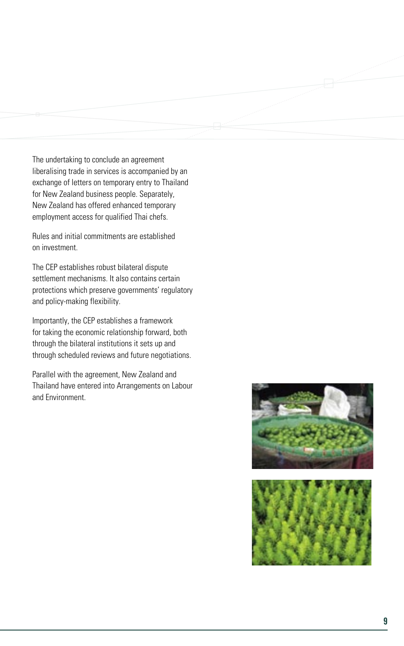The undertaking to conclude an agreement liberalising trade in services is accompanied by an exchange of letters on temporary entry to Thailand for New Zealand business people. Separately, New Zealand has offered enhanced temporary employment access for qualified Thai chefs.

Rules and initial commitments are established on investment.

The CEP establishes robust bilateral dispute settlement mechanisms. It also contains certain protections which preserve governments' regulatory and policy-making flexibility.

Importantly, the CEP establishes a framework for taking the economic relationship forward, both through the bilateral institutions it sets up and through scheduled reviews and future negotiations.

Parallel with the agreement, New Zealand and Thailand have entered into Arrangements on Labour and Environment.



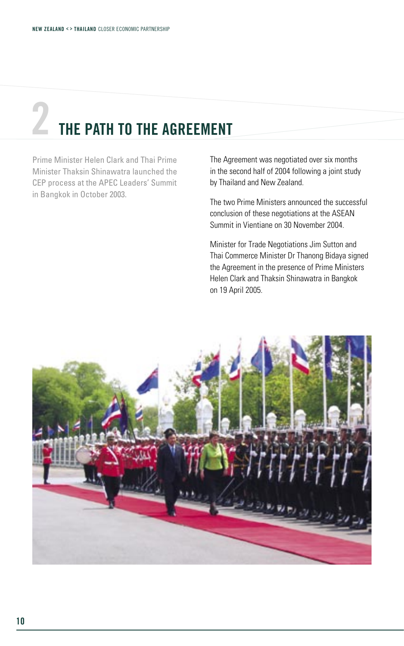# **2 THE PATH TO THE AGREEMENT**

Prime Minister Helen Clark and Thai Prime Minister Thaksin Shinawatra launched the CEP process at the APEC Leaders' Summit in Bangkok in October 2003.

The Agreement was negotiated over six months in the second half of 2004 following a joint study by Thailand and New Zealand.

The two Prime Ministers announced the successful conclusion of these negotiations at the ASEAN Summit in Vientiane on 30 November 2004.

Minister for Trade Negotiations Jim Sutton and Thai Commerce Minister Dr Thanong Bidaya signed the Agreement in the presence of Prime Ministers Helen Clark and Thaksin Shinawatra in Bangkok on 19 April 2005.

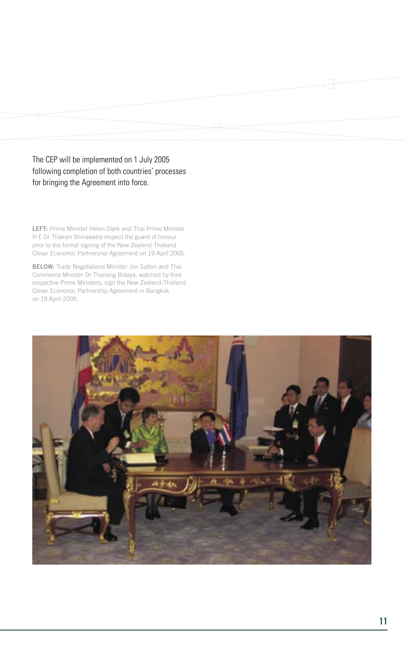The CEP will be implemented on 1 July 2005 following completion of both countries' processes for bringing the Agreement into force.

**LEFT:** Prime Minister Helen Clark and Thai Prime Minister H E Dr Thaksin Shinawatra inspect the guard of honour prior to the formal signing of the New Zealand-Thailand Closer Economic Partnership Agreement on 19 April 2005.

**BELOW:** Trade Negotiations Minister Jim Sutton and Thai Commerce Minister Dr Thanong Bidaya, watched by their respective Prime Ministers, sign the New Zealand-Thailand Closer Economic Partnership Agreement in Bangkok on 19 April 2005.

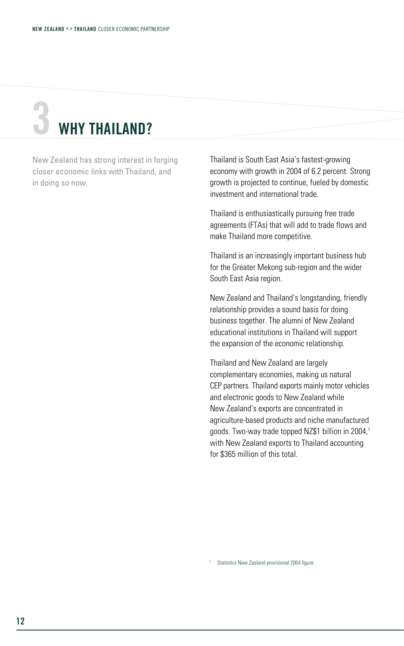### **3 WHY THAILAND?**

New Zealand has strong interest in forging closer economic links with Thailand, and in doing so now.

Thailand is South East Asia's fastest-growing economy with growth in 2004 of 6.2 percent. Strong growth is projected to continue, fueled by domestic investment and international trade.

Thailand is enthusiastically pursuing free trade agreements (FTAs) that will add to trade flows and make Thailand more competitive.

Thailand is an increasingly important business hub for the Greater Mekong sub-region and the wider South East Asia region.

New Zealand and Thailand's longstanding, friendly relationship provides a sound basis for doing business together. The alumni of New Zealand educational institutions in Thailand will support the expansion of the economic relationship.

Thailand and New Zealand are largely complementary economies, making us natural CEP partners. Thailand exports mainly motor vehicles and electronic goods to New Zealand while New Zealand's exports are concentrated in agriculture-based products and niche manufactured goods. Two-way trade topped NZ\$1 billion in 2004,<sup>1</sup> with New Zealand exports to Thailand accounting for \$365 million of this total.

<sup>1</sup> Statistics New Zealand provisional 2004 figure.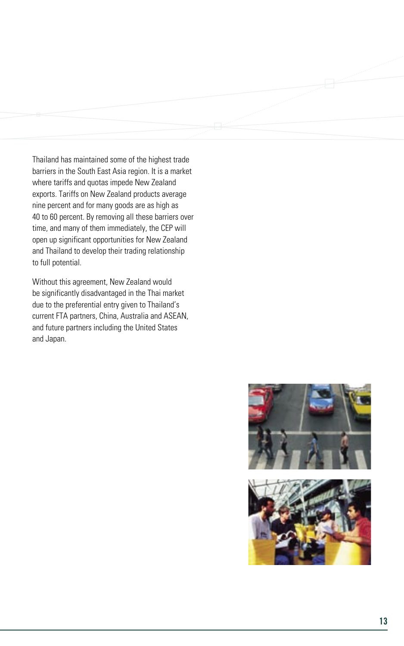Thailand has maintained some of the highest trade barriers in the South East Asia region. It is a market where tariffs and quotas impede New Zealand exports. Tariffs on New Zealand products average nine percent and for many goods are as high as 40 to 60 percent. By removing all these barriers over time, and many of them immediately, the CEP will open up significant opportunities for New Zealand and Thailand to develop their trading relationship to full potential.

Without this agreement, New Zealand would be significantly disadvantaged in the Thai market due to the preferential entry given to Thailand's current FTA partners, China, Australia and ASEAN, and future partners including the United States and Japan.



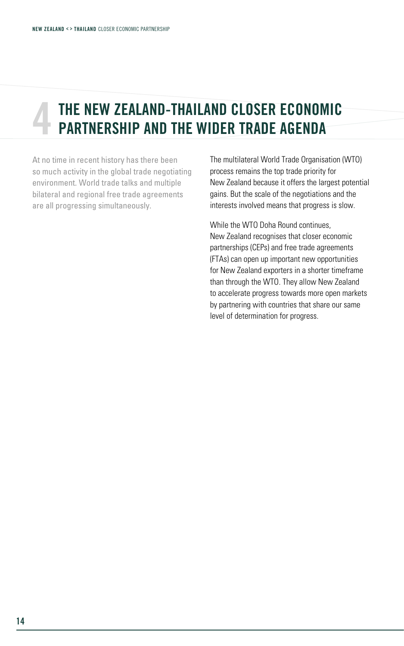### **THE NEW ZEALAND-THAILAND CLOSER ECONOMIC 4 PARTNERSHIP AND THE WIDER TRADE AGENDA**

At no time in recent history has there been so much activity in the global trade negotiating environment. World trade talks and multiple bilateral and regional free trade agreements are all progressing simultaneously.

The multilateral World Trade Organisation (WTO) process remains the top trade priority for New Zealand because it offers the largest potential gains. But the scale of the negotiations and the interests involved means that progress is slow.

While the WTO Doha Round continues. New Zealand recognises that closer economic partnerships (CEPs) and free trade agreements (FTAs) can open up important new opportunities for New Zealand exporters in a shorter timeframe than through the WTO. They allow New Zealand to accelerate progress towards more open markets by partnering with countries that share our same level of determination for progress.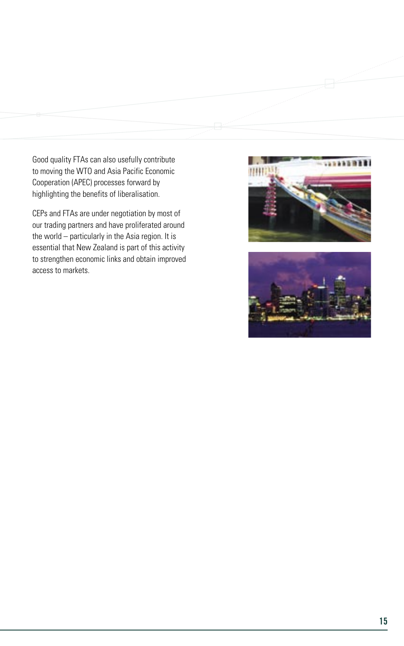Good quality FTAs can also usefully contribute to moving the WTO and Asia Pacific Economic Cooperation (APEC) processes forward by highlighting the benefits of liberalisation.

CEPs and FTAs are under negotiation by most of our trading partners and have proliferated around the world – particularly in the Asia region. It is essential that New Zealand is part of this activity to strengthen economic links and obtain improved access to markets.



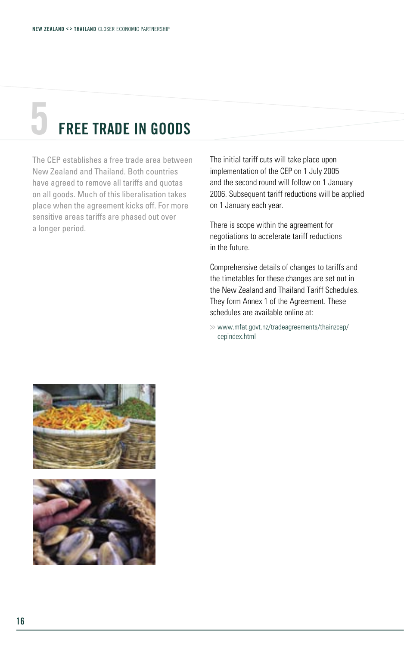### **5 FREE TRADE IN GOODS**

The CEP establishes a free trade area between New Zealand and Thailand. Both countries have agreed to remove all tariffs and quotas on all goods. Much of this liberalisation takes place when the agreement kicks off. For more sensitive areas tariffs are phased out over a longer period.

The initial tariff cuts will take place upon implementation of the CEP on 1 July 2005 and the second round will follow on 1 January 2006. Subsequent tariff reductions will be applied on 1 January each year.

There is scope within the agreement for negotiations to accelerate tariff reductions in the future.

Comprehensive details of changes to tariffs and the timetables for these changes are set out in the New Zealand and Thailand Tariff Schedules. They form Annex 1 of the Agreement. These schedules are available online at:

>> www.mfat.govt.nz/tradeagreements/thainzcep/ cepindex.html

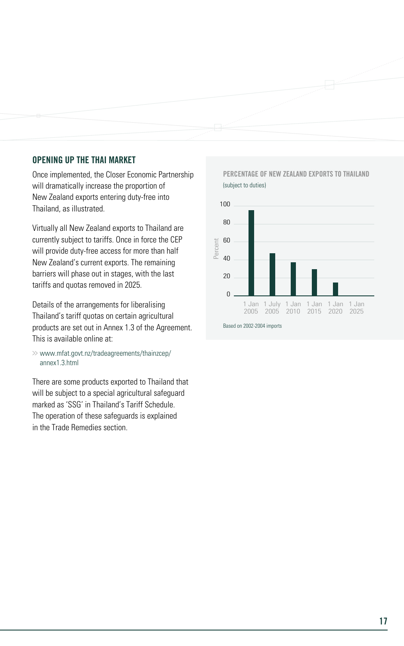### **OPENING UP THE THAI MARKET**

Once implemented, the Closer Economic Partnership will dramatically increase the proportion of New Zealand exports entering duty-free into Thailand, as illustrated.

Virtually all New Zealand exports to Thailand are currently subject to tariffs. Once in force the CEP will provide duty-free access for more than half New Zealand's current exports. The remaining barriers will phase out in stages, with the last tariffs and quotas removed in 2025.

Details of the arrangements for liberalising Thailand's tariff quotas on certain agricultural products are set out in Annex 1.3 of the Agreement. This is available online at:

>> www.mfat.govt.nz/tradeagreements/thainzcep/ annex1.3.html

There are some products exported to Thailand that will be subject to a special agricultural safeguard marked as 'SSG' in Thailand's Tariff Schedule. The operation of these safeguards is explained in the Trade Remedies section.

**PERCENTAGE OF NEW ZEALAND EXPORTS TO THAILAND** (subject to duties)

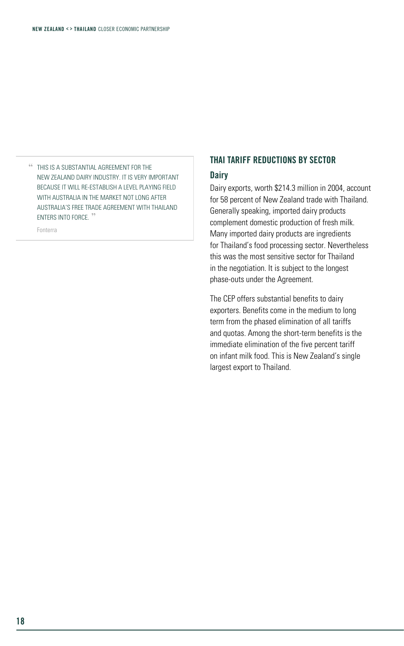THIS IS A SUBSTANTIAL AGREEMENT FOR THE **"**NEW ZEALAND DAIRY INDUSTRY. IT IS VERY IMPORTANT BECAUSE IT WILL RE-ESTABLISH A LEVEL PLAYING FIELD WITH AUSTRALIA IN THE MARKET NOT LONG AFTER AUSTRALIA'S FREE TRADE AGREEMENT WITH THAILAND ENTERS INTO FORCE. **"**

Fonterra

### **THAI TARIFF REDUCTIONS BY SECTOR**

### **Dairy**

Dairy exports, worth \$214.3 million in 2004, account for 58 percent of New Zealand trade with Thailand. Generally speaking, imported dairy products complement domestic production of fresh milk. Many imported dairy products are ingredients for Thailand's food processing sector. Nevertheless this was the most sensitive sector for Thailand in the negotiation. It is subject to the longest phase-outs under the Agreement.

The CEP offers substantial benefits to dairy exporters. Benefits come in the medium to long term from the phased elimination of all tariffs and quotas. Among the short-term benefits is the immediate elimination of the five percent tariff on infant milk food. This is New Zealand's single largest export to Thailand.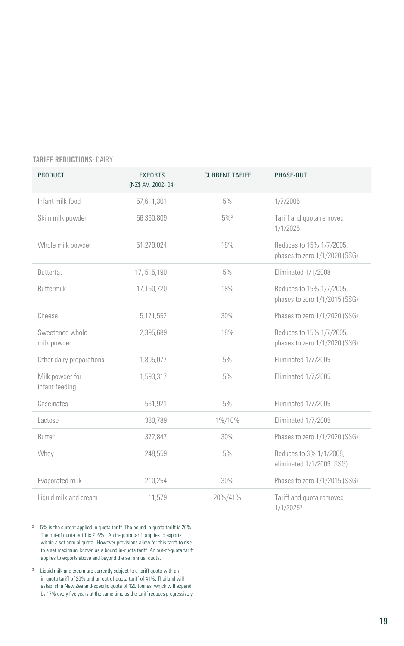#### **TARIFF REDUCTIONS:** DAIRY

| <b>PRODUCT</b>                    | <b>EXPORTS</b><br>(NZ\$ AV. 2002-04) | <b>CURRENT TARIFF</b> | PHASE-OUT                                                 |
|-----------------------------------|--------------------------------------|-----------------------|-----------------------------------------------------------|
| Infant milk food                  | 57,611,301                           | 5%                    | 1/7/2005                                                  |
| Skim milk powder                  | 56.360.809                           | $5\%$ <sup>2</sup>    | Tariff and quota removed<br>1/1/2025                      |
| Whole milk powder                 | 51,279,024                           | 18%                   | Reduces to 15% 1/7/2005,<br>phases to zero 1/1/2020 (SSG) |
| <b>Butterfat</b>                  | 17,515,190                           | 5%                    | Eliminated 1/1/2008                                       |
| <b>Buttermilk</b>                 | 17,150,720                           | 18%                   | Reduces to 15% 1/7/2005.<br>phases to zero 1/1/2015 (SSG) |
| Cheese                            | 5,171,552                            | 30%                   | Phases to zero 1/1/2020 (SSG)                             |
| Sweetened whole<br>milk powder    | 2,395,689                            | 18%                   | Reduces to 15% 1/7/2005,<br>phases to zero 1/1/2020 (SSG) |
| Other dairy preparations          | 1,805,077                            | 5%                    | Eliminated 1/7/2005                                       |
| Milk powder for<br>infant feeding | 1,593,317                            | 5%                    | Eliminated 1/7/2005                                       |
| Caseinates                        | 561,921                              | 5%                    | Eliminated 1/7/2005                                       |
| Lactose                           | 380.789                              | 1%/10%                | Eliminated 1/7/2005                                       |
| Butter                            | 372.847                              | 30%                   | Phases to zero 1/1/2020 (SSG)                             |
| Whey                              | 248.559                              | 5%                    | Reduces to 3% 1/1/2008,<br>eliminated 1/1/2009 (SSG)      |
| Evaporated milk                   | 210.254                              | 30%                   | Phases to zero 1/1/2015 (SSG)                             |
| Liquid milk and cream             | 11,579                               | 20%/41%               | Tariff and quota removed<br>1/1/2025 <sup>3</sup>         |

<sup>2</sup> 5% is the current applied in-quota tariff. The bound in-quota tariff is 20%. The out-of quota tariff is 216%. An in-quota tariff applies to exports within a set annual quota. However provisions allow for this tariff to rise to a set maximum, known as a bound in-quota tariff. An out-of-quota tariff applies to exports above and beyond the set annual quota.

<sup>3</sup> Liquid milk and cream are currently subject to a tariff quota with an in-quota tariff of 20% and an out-of-quota tariff of 41%. Thailand will establish a New Zealand-specific quota of 120 tonnes, which will expand by 17% every five years at the same time as the tariff reduces progressively.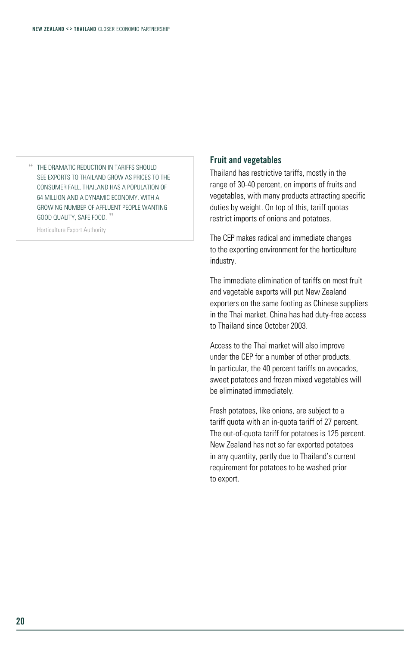THE DRAMATIC REDUCTION IN TARIFFS SHOULD **"**SEE EXPORTS TO THAILAND GROW AS PRICES TO THE CONSUMER FALL. THAILAND HAS A POPULATION OF 64 MILLION AND A DYNAMIC ECONOMY, WITH A GROWING NUMBER OF AFFLUENT PEOPLE WANTING GOOD QUALITY, SAFE FOOD. **"**

Horticulture Export Authority

#### **Fruit and vegetables**

Thailand has restrictive tariffs, mostly in the range of 30-40 percent, on imports of fruits and vegetables, with many products attracting specific duties by weight. On top of this, tariff quotas restrict imports of onions and potatoes.

The CEP makes radical and immediate changes to the exporting environment for the horticulture industry.

The immediate elimination of tariffs on most fruit and vegetable exports will put New Zealand exporters on the same footing as Chinese suppliers in the Thai market. China has had duty-free access to Thailand since October 2003.

Access to the Thai market will also improve under the CEP for a number of other products. In particular, the 40 percent tariffs on avocados, sweet potatoes and frozen mixed vegetables will be eliminated immediately.

Fresh potatoes, like onions, are subject to a tariff quota with an in-quota tariff of 27 percent. The out-of-quota tariff for potatoes is 125 percent. New Zealand has not so far exported potatoes in any quantity, partly due to Thailand's current requirement for potatoes to be washed prior to export.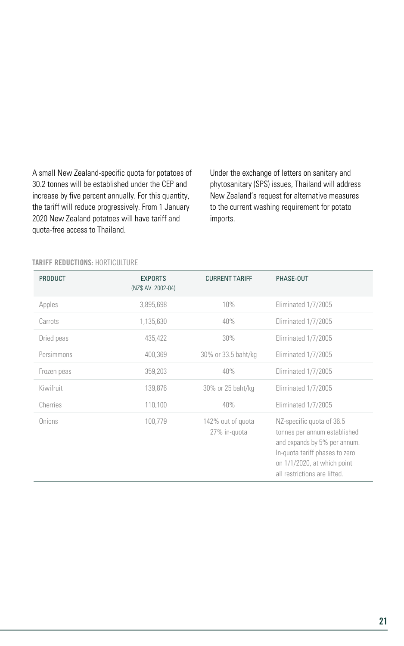A small New Zealand-specific quota for potatoes of 30.2 tonnes will be established under the CEP and increase by five percent annually. For this quantity, the tariff will reduce progressively. From 1 January 2020 New Zealand potatoes will have tariff and quota-free access to Thailand.

Under the exchange of letters on sanitary and phytosanitary (SPS) issues, Thailand will address New Zealand's request for alternative measures to the current washing requirement for potato imports.

#### **TARIFF REDUCTIONS:** HORTICULTURE

| PRODUCT     | <b>EXPORTS</b><br>(NZ\$ AV. 2002-04) | <b>CURRENT TARIFF</b>             | PHASE-OUT                                                                                                                                                                                  |
|-------------|--------------------------------------|-----------------------------------|--------------------------------------------------------------------------------------------------------------------------------------------------------------------------------------------|
| Apples      | 3,895,698                            | 10%                               | Eliminated 1/7/2005                                                                                                                                                                        |
| Carrots     | 1.135.630                            | 40%                               | Eliminated 1/7/2005                                                                                                                                                                        |
| Dried peas  | 435.422                              | 30%                               | Eliminated 1/7/2005                                                                                                                                                                        |
| Persimmons  | 400.369                              | 30% or 33.5 baht/kg               | Eliminated 1/7/2005                                                                                                                                                                        |
| Frozen peas | 359,203                              | 40%                               | Eliminated 1/7/2005                                                                                                                                                                        |
| Kiwifruit   | 139,876                              | 30% or 25 baht/kg                 | Eliminated 1/7/2005                                                                                                                                                                        |
| Cherries    | 110,100                              | 40%                               | Eliminated 1/7/2005                                                                                                                                                                        |
| Onions      | 100,779                              | 142% out of quota<br>27% in-quota | NZ-specific quota of 36.5<br>tonnes per annum established<br>and expands by 5% per annum.<br>In-quota tariff phases to zero<br>on 1/1/2020, at which point<br>all restrictions are lifted. |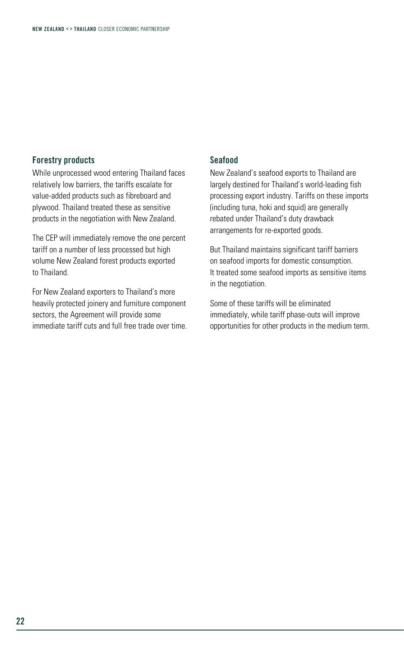### **Forestry products**

While unprocessed wood entering Thailand faces relatively low barriers, the tariffs escalate for value-added products such as fibreboard and plywood. Thailand treated these as sensitive products in the negotiation with New Zealand.

The CEP will immediately remove the one percent tariff on a number of less processed but high volume New Zealand forest products exported to Thailand.

For New Zealand exporters to Thailand's more heavily protected joinery and furniture component sectors, the Agreement will provide some immediate tariff cuts and full free trade over time.

### **Seafood**

New Zealand's seafood exports to Thailand are largely destined for Thailand's world-leading fish processing export industry. Tariffs on these imports (including tuna, hoki and squid) are generally rebated under Thailand's duty drawback arrangements for re-exported goods.

But Thailand maintains significant tariff barriers on seafood imports for domestic consumption. It treated some seafood imports as sensitive items in the negotiation.

Some of these tariffs will be eliminated immediately, while tariff phase-outs will improve opportunities for other products in the medium term.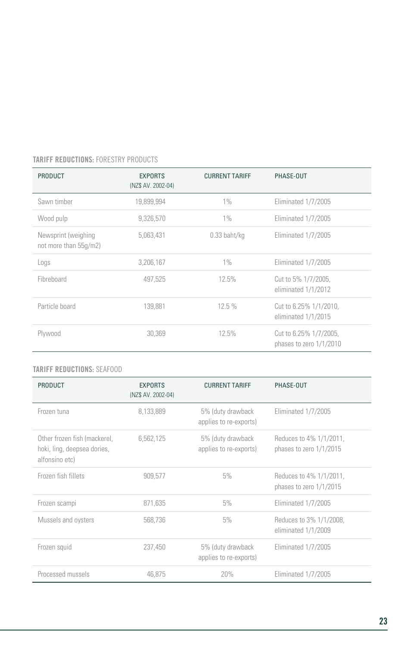#### **TARIFF REDUCTIONS:** FORESTRY PRODUCTS

| PRODUCT                                       | <b>EXPORTS</b><br>(NZ\$ AV. 2002-04) | <b>CURRENT TARIFF</b> | PHASE-OUT                                         |
|-----------------------------------------------|--------------------------------------|-----------------------|---------------------------------------------------|
| Sawn timber                                   | 19,899,994                           | $1\%$                 | Eliminated 1/7/2005                               |
| Wood pulp                                     | 9.326.570                            | $1\%$                 | Eliminated 1/7/2005                               |
| Newsprint (weighing)<br>not more than 55q/m2) | 5,063,431                            | $0.33$ baht/kg        | Eliminated 1/7/2005                               |
| Logs                                          | 3,206,167                            | $1\%$                 | Eliminated 1/7/2005                               |
| Fibreboard                                    | 497.525                              | 12.5%                 | Cut to 5% 1/7/2005,<br>eliminated 1/1/2012        |
| Particle board                                | 139,881                              | 12.5%                 | Cut to 6.25% 1/1/2010,<br>eliminated 1/1/2015     |
| Plywood                                       | 30,369                               | 12.5%                 | Cut to 6.25% 1/7/2005,<br>phases to zero 1/1/2010 |

#### **TARIFF REDUCTIONS:** SEAFOOD

| PRODUCT                                                                       | <b>EXPORTS</b><br>(NZ\$ AV. 2002-04) | <b>CURRENT TARIFF</b>                       | PHASE-OUT                                          |
|-------------------------------------------------------------------------------|--------------------------------------|---------------------------------------------|----------------------------------------------------|
| Frozen tuna                                                                   | 8,133,889                            | 5% (duty drawback<br>applies to re-exports) | Eliminated 1/7/2005                                |
| Other frozen fish (mackerel,<br>hoki, ling, deepsea dories,<br>alfonsino etc) | 6,562,125                            | 5% (duty drawback<br>applies to re-exports) | Reduces to 4% 1/1/2011,<br>phases to zero 1/1/2015 |
| Frozen fish fillets                                                           | 909.577                              | 5%                                          | Reduces to 4% 1/1/2011,<br>phases to zero 1/1/2015 |
| Frozen scampi                                                                 | 871.635                              | 5%                                          | Eliminated 1/7/2005                                |
| Mussels and oysters                                                           | 568,736                              | 5%                                          | Reduces to 3% 1/1/2008,<br>eliminated 1/1/2009     |
| Frozen squid                                                                  | 237,450                              | 5% (duty drawback<br>applies to re-exports) | Eliminated 1/7/2005                                |
| Processed mussels                                                             | 46.875                               | 20%                                         | Eliminated 1/7/2005                                |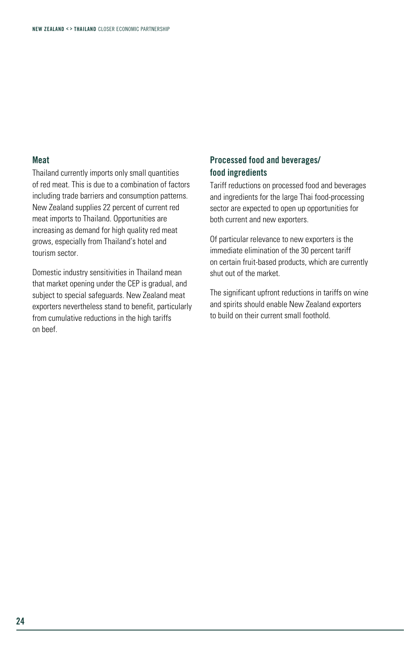### **Meat**

Thailand currently imports only small quantities of red meat. This is due to a combination of factors including trade barriers and consumption patterns. New Zealand supplies 22 percent of current red meat imports to Thailand. Opportunities are increasing as demand for high quality red meat grows, especially from Thailand's hotel and tourism sector.

Domestic industry sensitivities in Thailand mean that market opening under the CEP is gradual, and subject to special safeguards. New Zealand meat exporters nevertheless stand to benefit, particularly from cumulative reductions in the high tariffs on beef.

### **Processed food and beverages/ food ingredients**

Tariff reductions on processed food and beverages and ingredients for the large Thai food-processing sector are expected to open up opportunities for both current and new exporters.

Of particular relevance to new exporters is the immediate elimination of the 30 percent tariff on certain fruit-based products, which are currently shut out of the market.

The significant upfront reductions in tariffs on wine and spirits should enable New Zealand exporters to build on their current small foothold.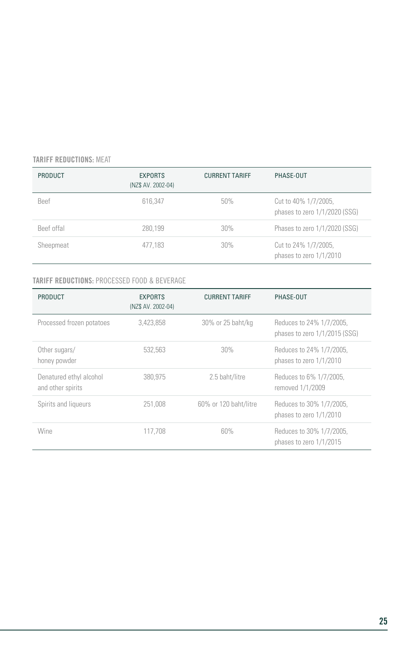#### **TARIFF REDUCTIONS:** MEAT

| PRODUCT     | <b>EXPORTS</b><br>(NZ\$ AV. 2002-04) | <b>CURRENT TARIFF</b> | PHASE-OUT                                               |
|-------------|--------------------------------------|-----------------------|---------------------------------------------------------|
| <b>Beef</b> | 616,347                              | 50%                   | Cut to 40% 1/7/2005,<br>phases to zero $1/1/2020$ (SSG) |
| Beef offal  | 280.199                              | 30%                   | Phases to zero 1/1/2020 (SSG)                           |
| Sheepmeat   | 477.183                              | 30%                   | Cut to 24% 1/7/2005,<br>phases to zero $1/1/2010$       |

#### **TARIFF REDUCTIONS:** PROCESSED FOOD & BEVERAGE

| PRODUCT                                      | <b>EXPORTS</b><br>(NZ\$ AV. 2002-04) | <b>CURRENT TARIFF</b> | PHASE-OUT                                                 |
|----------------------------------------------|--------------------------------------|-----------------------|-----------------------------------------------------------|
| Processed frozen potatoes                    | 3.423.858                            | 30% or 25 baht/kg     | Reduces to 24% 1/7/2005,<br>phases to zero 1/1/2015 (SSG) |
| Other sugars/<br>honey powder                | 532.563                              | 30%                   | Reduces to 24% 1/7/2005,<br>phases to zero $1/1/2010$     |
| Denatured ethyl alcohol<br>and other spirits | 380.975                              | 2.5 baht/litre        | Reduces to 6% 1/7/2005,<br>removed 1/1/2009               |
| Spirits and liqueurs                         | 251.008                              | 60% or 120 baht/litre | Reduces to 30% 1/7/2005.<br>phases to zero 1/1/2010       |
| <b>Wine</b>                                  | 117.708                              | 60%                   | Reduces to 30% 1/7/2005.<br>phases to zero 1/1/2015       |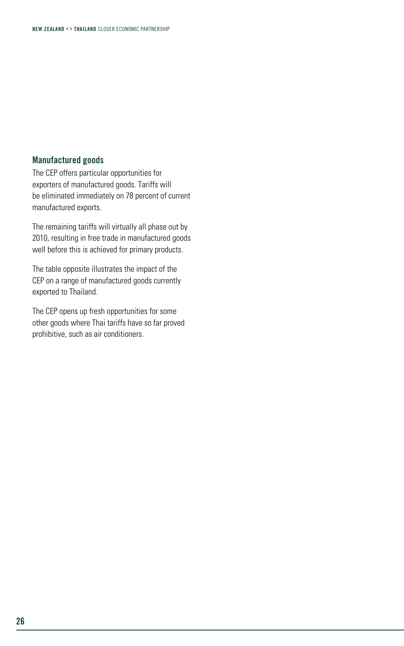### **Manufactured goods**

The CEP offers particular opportunities for exporters of manufactured goods. Tariffs will be eliminated immediately on 78 percent of current manufactured exports.

The remaining tariffs will virtually all phase out by 2010, resulting in free trade in manufactured goods well before this is achieved for primary products.

The table opposite illustrates the impact of the CEP on a range of manufactured goods currently exported to Thailand.

The CEP opens up fresh opportunities for some other goods where Thai tariffs have so far proved prohibitive, such as air conditioners.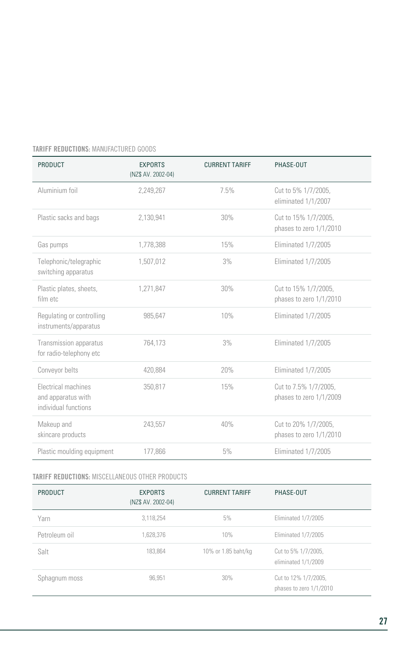| PRODUCT                                                           | <b>EXPORTS</b><br>(NZ\$ AV. 2002-04) | <b>CURRENT TARIFF</b> | PHASE-OUT                                        |
|-------------------------------------------------------------------|--------------------------------------|-----------------------|--------------------------------------------------|
| Aluminium foil                                                    | 2,249,267                            | 7.5%                  | Cut to 5% 1/7/2005,<br>eliminated 1/1/2007       |
| Plastic sacks and bags                                            | 2,130,941                            | 30%                   | Cut to 15% 1/7/2005,<br>phases to zero 1/1/2010  |
| Gas pumps                                                         | 1,778,388                            | 15%                   | Eliminated 1/7/2005                              |
| Telephonic/telegraphic<br>switching apparatus                     | 1,507,012                            | 3%                    | Eliminated 1/7/2005                              |
| Plastic plates, sheets,<br>film etc                               | 1,271,847                            | 30%                   | Cut to 15% 1/7/2005,<br>phases to zero 1/1/2010  |
| Regulating or controlling<br>instruments/apparatus                | 985,647                              | 10%                   | Eliminated 1/7/2005                              |
| Transmission apparatus<br>for radio-telephony etc                 | 764,173                              | 3%                    | Eliminated 1/7/2005                              |
| Conveyor belts                                                    | 420,884                              | 20%                   | Eliminated 1/7/2005                              |
| Electrical machines<br>and apparatus with<br>individual functions | 350,817                              | 15%                   | Cut to 7.5% 1/7/2005,<br>phases to zero 1/1/2009 |
| Makeup and<br>skincare products                                   | 243,557                              | 40%                   | Cut to 20% 1/7/2005,<br>phases to zero 1/1/2010  |
| Plastic moulding equipment                                        | 177,866                              | 5%                    | Eliminated 1/7/2005                              |

#### **TARIFF REDUCTIONS:** MISCELLANEOUS OTHER PRODUCTS

| PRODUCT       | <b>EXPORTS</b><br>(NZ\$ AV. 2002-04) | <b>CURRENT TARIFF</b> | PHASE-OUT                                       |
|---------------|--------------------------------------|-----------------------|-------------------------------------------------|
| Yarn          | 3,118,254                            | 5%                    | Eliminated 1/7/2005                             |
| Petroleum oil | 1.628.376                            | 10%                   | Eliminated 1/7/2005                             |
| Salt          | 183.864                              | 10% or 1.85 baht/kg   | Cut to 5% 1/7/2005,<br>eliminated 1/1/2009      |
| Sphagnum moss | 96,951                               | 30%                   | Cut to 12% 1/7/2005,<br>phases to zero 1/1/2010 |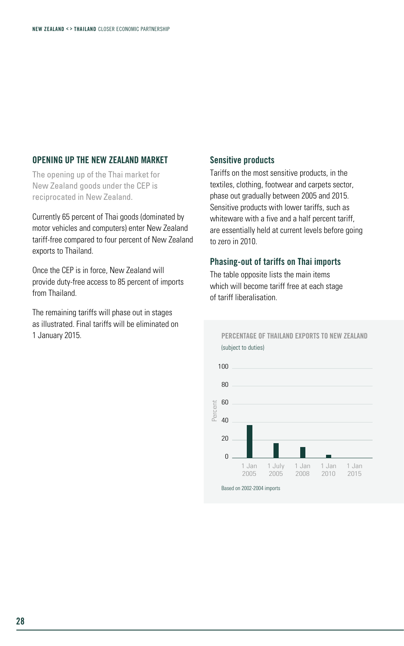### **OPENING UP THE NEW ZEALAND MARKET**

The opening up of the Thai market for New Zealand goods under the CEP is reciprocated in New Zealand.

Currently 65 percent of Thai goods (dominated by motor vehicles and computers) enter New Zealand tariff-free compared to four percent of New Zealand exports to Thailand.

Once the CEP is in force, New Zealand will provide duty-free access to 85 percent of imports from Thailand.

The remaining tariffs will phase out in stages as illustrated. Final tariffs will be eliminated on 1 January 2015. **PERCENTAGE OF THAILAND EXPORTS TO NEW ZEALAND**

### **Sensitive products**

Tariffs on the most sensitive products, in the textiles, clothing, footwear and carpets sector, phase out gradually between 2005 and 2015. Sensitive products with lower tariffs, such as whiteware with a five and a half percent tariff, are essentially held at current levels before going to zero in 2010.

### **Phasing-out of tariffs on Thai imports**

The table opposite lists the main items which will become tariff free at each stage of tariff liberalisation.

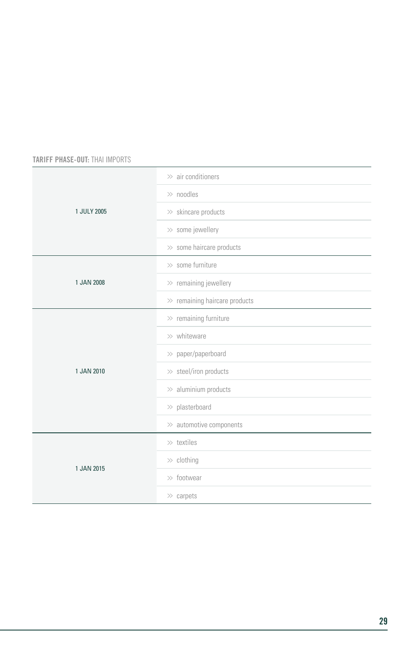#### **TARIFF PHASE-OUT:** THAI IMPORTS

|             | $\gg$ air conditioners         |
|-------------|--------------------------------|
|             | $\gg$ noodles                  |
| 1 JULY 2005 | $\gg$ skincare products        |
|             | >> some jewellery              |
|             | $\gg$ some haircare products   |
|             | $\gg$ some furniture           |
| 1 JAN 2008  | $\gg$ remaining jewellery      |
|             | >> remaining haircare products |
|             | $\gg$ remaining furniture      |
|             | >> whiteware                   |
|             | $\gg$ paper/paperboard         |
| 1 JAN 2010  | $\gg$ steel/iron products      |
|             | $\gg$ aluminium products       |
|             | >> plasterboard                |
|             | >> automotive components       |
|             | $\gg$ textiles                 |
| 1 JAN 2015  | $\gg$ clothing                 |
|             | >> footwear                    |
|             | $\gg$ carpets                  |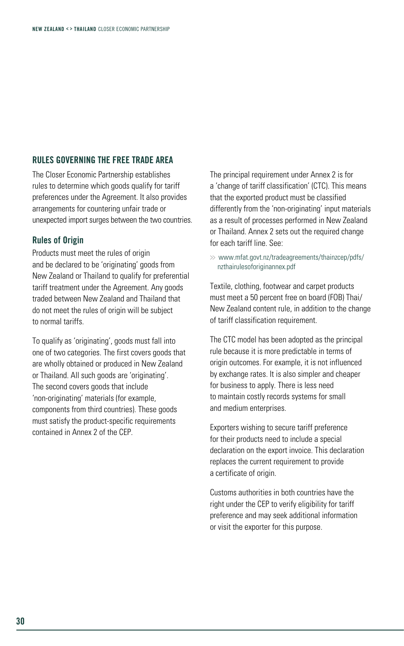### **RULES GOVERNING THE FREE TRADE AREA**

The Closer Economic Partnership establishes rules to determine which goods qualify for tariff preferences under the Agreement. It also provides arrangements for countering unfair trade or unexpected import surges between the two countries.

#### **Rules of Origin**

Products must meet the rules of origin and be declared to be 'originating' goods from New Zealand or Thailand to qualify for preferential tariff treatment under the Agreement. Any goods traded between New Zealand and Thailand that do not meet the rules of origin will be subject to normal tariffs.

To qualify as 'originating', goods must fall into one of two categories. The first covers goods that are wholly obtained or produced in New Zealand or Thailand. All such goods are 'originating'. The second covers goods that include 'non-originating' materials (for example, components from third countries). These goods must satisfy the product-specific requirements contained in Annex 2 of the CEP.

The principal requirement under Annex 2 is for a 'change of tariff classification' (CTC). This means that the exported product must be classified differently from the 'non-originating' input materials as a result of processes performed in New Zealand or Thailand. Annex 2 sets out the required change for each tariff line. See:

>> www.mfat.govt.nz/tradeagreements/thainzcep/pdfs/ nzthairulesoforiginannex.pdf

Textile, clothing, footwear and carpet products must meet a 50 percent free on board (FOB) Thai/ New Zealand content rule, in addition to the change of tariff classification requirement.

The CTC model has been adopted as the principal rule because it is more predictable in terms of origin outcomes. For example, it is not influenced by exchange rates. It is also simpler and cheaper for business to apply. There is less need to maintain costly records systems for small and medium enterprises.

Exporters wishing to secure tariff preference for their products need to include a special declaration on the export invoice. This declaration replaces the current requirement to provide a certificate of origin.

Customs authorities in both countries have the right under the CEP to verify eligibility for tariff preference and may seek additional information or visit the exporter for this purpose.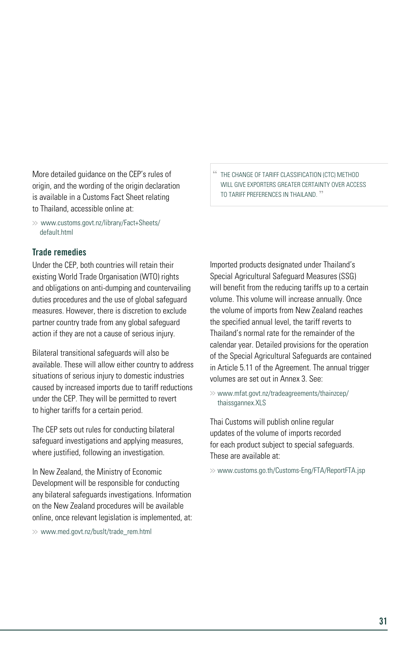More detailed guidance on the CEP's rules of origin, and the wording of the origin declaration is available in a Customs Fact Sheet relating to Thailand, accessible online at:

>> www.customs.govt.nz/library/Fact+Sheets/ default.html

### **Trade remedies**

Under the CEP, both countries will retain their existing World Trade Organisation (WTO) rights and obligations on anti-dumping and countervailing duties procedures and the use of global safeguard measures. However, there is discretion to exclude partner country trade from any global safeguard action if they are not a cause of serious injury.

Bilateral transitional safeguards will also be available. These will allow either country to address situations of serious injury to domestic industries caused by increased imports due to tariff reductions under the CEP. They will be permitted to revert to higher tariffs for a certain period.

The CEP sets out rules for conducting bilateral safeguard investigations and applying measures, where justified, following an investigation.

In New Zealand, the Ministry of Economic Development will be responsible for conducting any bilateral safeguards investigations. Information on the New Zealand procedures will be available online, once relevant legislation is implemented, at:

 $\gg$  www.med.govt.nz/buslt/trade\_rem.html

THE CHANGE OF TARIFF CLASSIFICATION (CTC) METHOD WILL GIVE EXPORTERS GREATER CERTAINTY OVER ACCESS TO TARIFF PREFERENCES IN THAILAND. **" "**

Imported products designated under Thailand's Special Agricultural Safeguard Measures (SSG) will benefit from the reducing tariffs up to a certain volume. This volume will increase annually. Once the volume of imports from New Zealand reaches the specified annual level, the tariff reverts to Thailand's normal rate for the remainder of the calendar year. Detailed provisions for the operation of the Special Agricultural Safeguards are contained in Article 5.11 of the Agreement. The annual trigger volumes are set out in Annex 3. See:

>> www.mfat.govt.nz/tradeagreements/thainzcep/ thaissgannex.XLS

Thai Customs will publish online regular updates of the volume of imports recorded for each product subject to special safeguards. These are available at:

>> www.customs.go.th/Customs-Eng/FTA/ReportFTA.jsp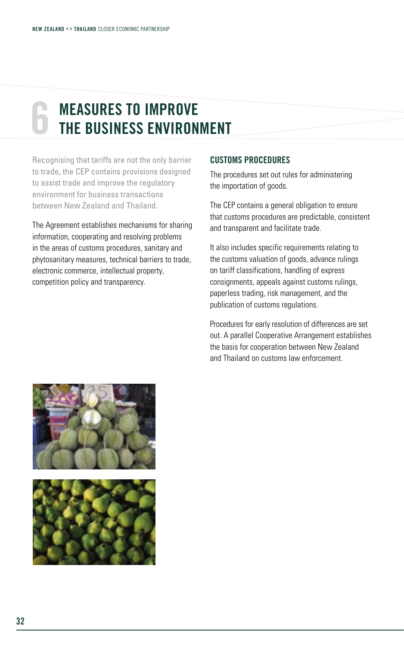### **MEASURES TO IMPROVE 6 THE BUSINESS ENVIRONMENT**

Recognising that tariffs are not the only barrier to trade, the CEP contains provisions designed to assist trade and improve the regulatory environment for business transactions between New Zealand and Thailand.

The Agreement establishes mechanisms for sharing information, cooperating and resolving problems in the areas of customs procedures, sanitary and phytosanitary measures, technical barriers to trade, electronic commerce, intellectual property, competition policy and transparency.

### **CUSTOMS PROCEDURES**

The procedures set out rules for administering the importation of goods.

The CEP contains a general obligation to ensure that customs procedures are predictable, consistent and transparent and facilitate trade.

It also includes specific requirements relating to the customs valuation of goods, advance rulings on tariff classifications, handling of express consignments, appeals against customs rulings, paperless trading, risk management, and the publication of customs regulations.

Procedures for early resolution of differences are set out. A parallel Cooperative Arrangement establishes the basis for cooperation between New Zealand and Thailand on customs law enforcement.



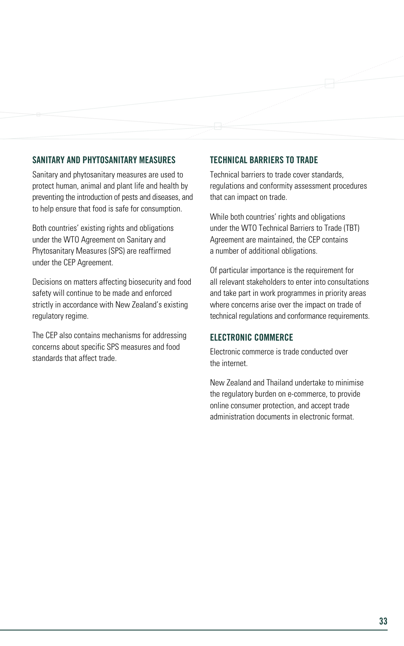### **SANITARY AND PHYTOSANITARY MEASURES**

Sanitary and phytosanitary measures are used to protect human, animal and plant life and health by preventing the introduction of pests and diseases, and to help ensure that food is safe for consumption.

Both countries' existing rights and obligations under the WTO Agreement on Sanitary and Phytosanitary Measures (SPS) are reaffirmed under the CEP Agreement.

Decisions on matters affecting biosecurity and food safety will continue to be made and enforced strictly in accordance with New Zealand's existing regulatory regime.

The CEP also contains mechanisms for addressing concerns about specific SPS measures and food standards that affect trade.

### **TECHNICAL BARRIERS TO TRADE**

Technical barriers to trade cover standards, regulations and conformity assessment procedures that can impact on trade.

While both countries' rights and obligations under the WTO Technical Barriers to Trade (TBT) Agreement are maintained, the CEP contains a number of additional obligations.

Of particular importance is the requirement for all relevant stakeholders to enter into consultations and take part in work programmes in priority areas where concerns arise over the impact on trade of technical regulations and conformance requirements.

### **ELECTRONIC COMMERCE**

Electronic commerce is trade conducted over the internet.

New Zealand and Thailand undertake to minimise the regulatory burden on e-commerce, to provide online consumer protection, and accept trade administration documents in electronic format.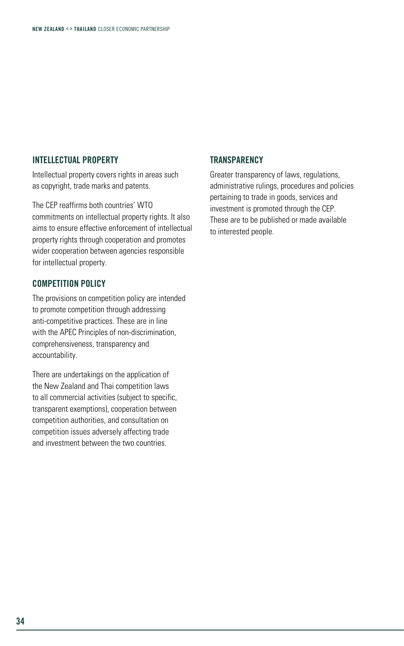### **INTELLECTUAL PROPERTY**

Intellectual property covers rights in areas such as copyright, trade marks and patents.

The CEP reaffirms both countries' WTO commitments on intellectual property rights. It also aims to ensure effective enforcement of intellectual property rights through cooperation and promotes wider cooperation between agencies responsible for intellectual property.

### **COMPETITION POLICY**

The provisions on competition policy are intended to promote competition through addressing anti-competitive practices. These are in line with the APEC Principles of non-discrimination, comprehensiveness, transparency and accountability.

There are undertakings on the application of the New Zealand and Thai competition laws to all commercial activities (subject to specific, transparent exemptions), cooperation between competition authorities, and consultation on competition issues adversely affecting trade and investment between the two countries.

### **TRANSPARENCY**

Greater transparency of laws, regulations, administrative rulings, procedures and policies pertaining to trade in goods, services and investment is promoted through the CEP. These are to be published or made available to interested people.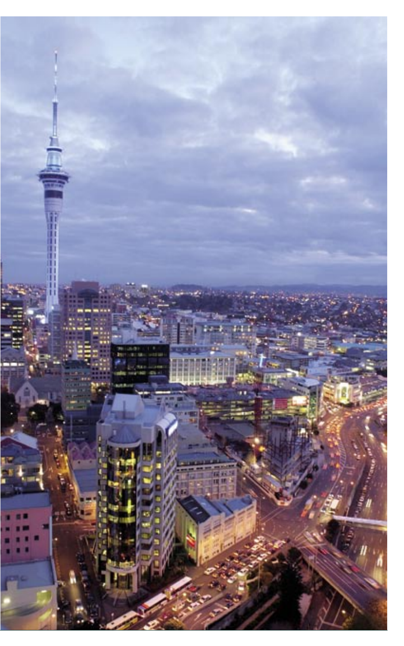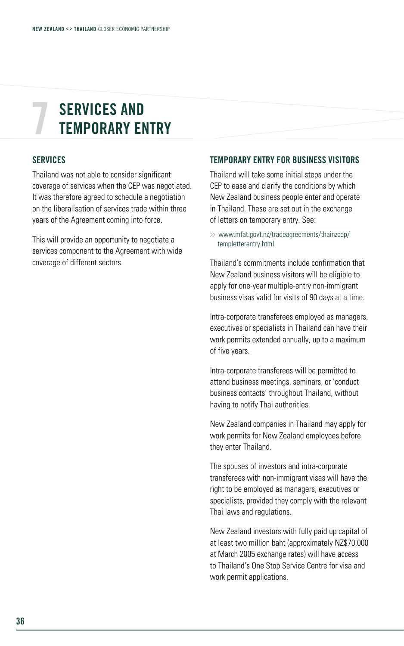### **SERVICES AND 7 TEMPORARY ENTRY**

### **SERVICES**

Thailand was not able to consider significant coverage of services when the CEP was negotiated. It was therefore agreed to schedule a negotiation on the liberalisation of services trade within three years of the Agreement coming into force.

This will provide an opportunity to negotiate a services component to the Agreement with wide coverage of different sectors.

### **TEMPORARY ENTRY FOR BUSINESS VISITORS**

Thailand will take some initial steps under the CEP to ease and clarify the conditions by which New Zealand business people enter and operate in Thailand. These are set out in the exchange of letters on temporary entry. See:

>> www.mfat.govt.nz/tradeagreements/thainzcep/ templetterentry.html

Thailand's commitments include confirmation that New Zealand business visitors will be eligible to apply for one-year multiple-entry non-immigrant business visas valid for visits of 90 days at a time.

Intra-corporate transferees employed as managers, executives or specialists in Thailand can have their work permits extended annually, up to a maximum of five years.

Intra-corporate transferees will be permitted to attend business meetings, seminars, or 'conduct business contacts' throughout Thailand, without having to notify Thai authorities.

New Zealand companies in Thailand may apply for work permits for New Zealand employees before they enter Thailand.

The spouses of investors and intra-corporate transferees with non-immigrant visas will have the right to be employed as managers, executives or specialists, provided they comply with the relevant Thai laws and regulations.

New Zealand investors with fully paid up capital of at least two million baht (approximately NZ\$70,000 at March 2005 exchange rates) will have access to Thailand's One Stop Service Centre for visa and work permit applications.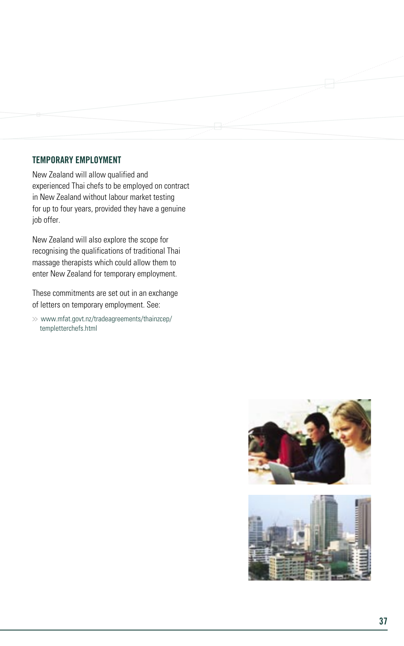### **TEMPORARY EMPLOYMENT**

New Zealand will allow qualified and experienced Thai chefs to be employed on contract in New Zealand without labour market testing for up to four years, provided they have a genuine iob offer.

New Zealand will also explore the scope for recognising the qualifications of traditional Thai massage therapists which could allow them to enter New Zealand for temporary employment.

These commitments are set out in an exchange of letters on temporary employment. See:

>> www.mfat.govt.nz/tradeagreements/thainzcep/ templetterchefs.html



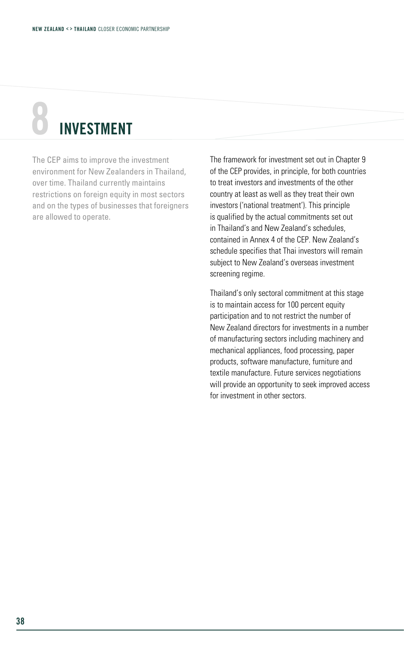# **8 INVESTMENT**

The CEP aims to improve the investment environment for New Zealanders in Thailand, over time. Thailand currently maintains restrictions on foreign equity in most sectors and on the types of businesses that foreigners are allowed to operate.

The framework for investment set out in Chapter 9 of the CEP provides, in principle, for both countries to treat investors and investments of the other country at least as well as they treat their own investors ('national treatment'). This principle is qualified by the actual commitments set out in Thailand's and New Zealand's schedules, contained in Annex 4 of the CEP. New Zealand's schedule specifies that Thai investors will remain subject to New Zealand's overseas investment screening regime.

Thailand's only sectoral commitment at this stage is to maintain access for 100 percent equity participation and to not restrict the number of New Zealand directors for investments in a number of manufacturing sectors including machinery and mechanical appliances, food processing, paper products, software manufacture, furniture and textile manufacture. Future services negotiations will provide an opportunity to seek improved access for investment in other sectors.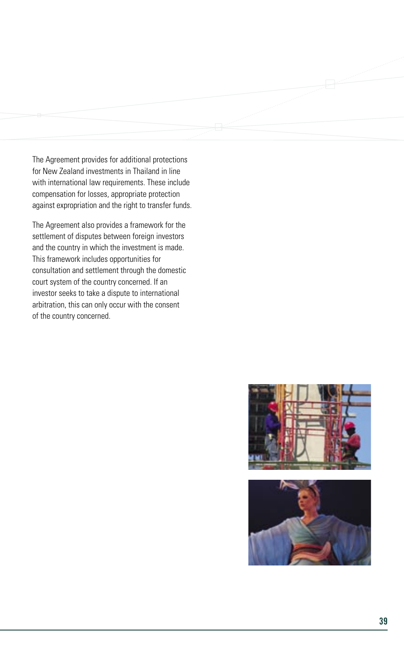The Agreement provides for additional protections for New Zealand investments in Thailand in line with international law requirements. These include compensation for losses, appropriate protection against expropriation and the right to transfer funds.

The Agreement also provides a framework for the settlement of disputes between foreign investors and the country in which the investment is made. This framework includes opportunities for consultation and settlement through the domestic court system of the country concerned. If an investor seeks to take a dispute to international arbitration, this can only occur with the consent of the country concerned.



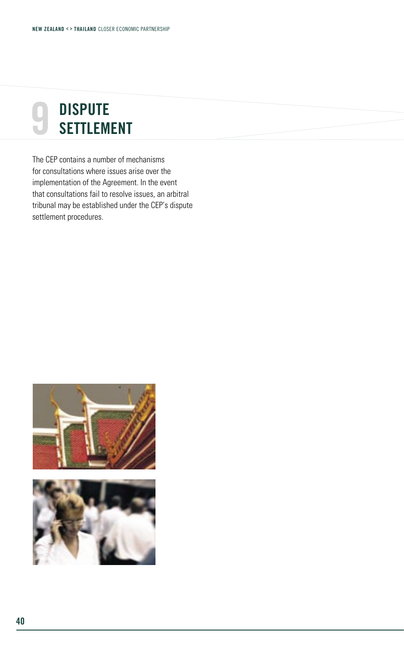## **DISPUTE 9 SETTLEMENT**

The CEP contains a number of mechanisms for consultations where issues arise over the implementation of the Agreement. In the event that consultations fail to resolve issues, an arbitral tribunal may be established under the CEP's dispute settlement procedures.

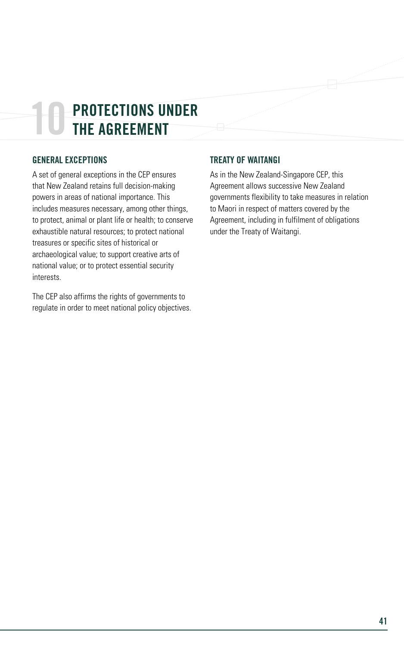### **PROTECTIONS UNDER 10 THE AGREEMENT**

### **GENERAL EXCEPTIONS**

A set of general exceptions in the CEP ensures that New Zealand retains full decision-making powers in areas of national importance. This includes measures necessary, among other things, to protect, animal or plant life or health; to conserve exhaustible natural resources; to protect national treasures or specific sites of historical or archaeological value; to support creative arts of national value; or to protect essential security interests.

The CEP also affirms the rights of governments to regulate in order to meet national policy objectives.

### **TREATY OF WAITANGI**

As in the New Zealand-Singapore CEP, this Agreement allows successive New Zealand governments flexibility to take measures in relation to Maori in respect of matters covered by the Agreement, including in fulfilment of obligations under the Treaty of Waitangi.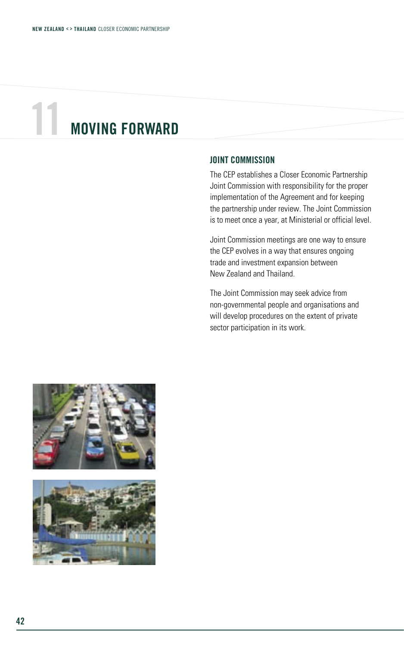### **11 MOVING FORWARD**

### **JOINT COMMISSION**

The CEP establishes a Closer Economic Partnership Joint Commission with responsibility for the proper implementation of the Agreement and for keeping the partnership under review. The Joint Commission is to meet once a year, at Ministerial or official level.

Joint Commission meetings are one way to ensure the CEP evolves in a way that ensures ongoing trade and investment expansion between New Zealand and Thailand.

The Joint Commission may seek advice from non-governmental people and organisations and will develop procedures on the extent of private sector participation in its work.

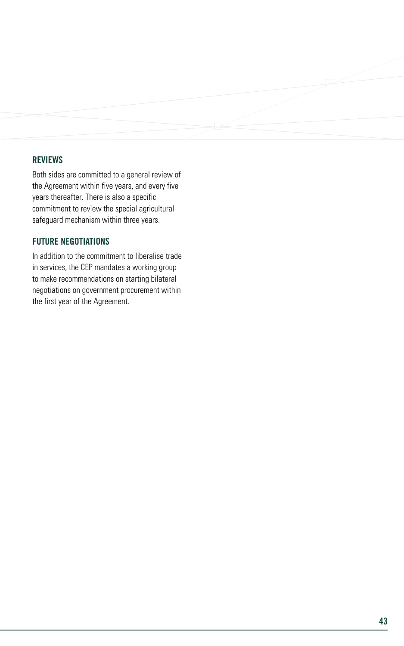

### **REVIEWS**

Both sides are committed to a general review of the Agreement within five years, and every five years thereafter. There is also a specific commitment to review the special agricultural safeguard mechanism within three years.

### **FUTURE NEGOTIATIONS**

In addition to the commitment to liberalise trade in services, the CEP mandates a working group to make recommendations on starting bilateral negotiations on government procurement within the first year of the Agreement.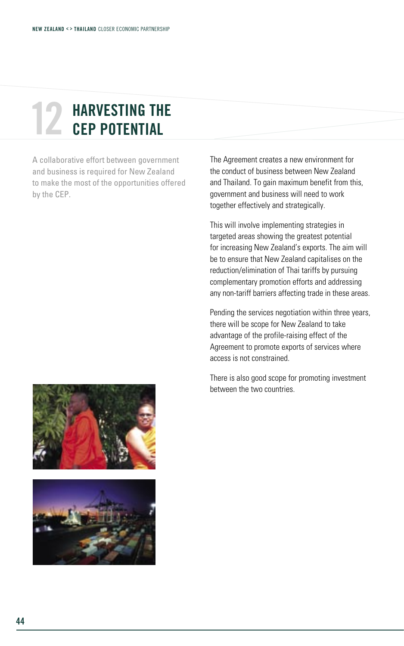# **HARVESTING THE 12 CEP POTENTIAL**

A collaborative effort between government and business is required for New Zealand to make the most of the opportunities offered by the CEP.

The Agreement creates a new environment for the conduct of business between New Zealand and Thailand. To gain maximum benefit from this, government and business will need to work together effectively and strategically.

This will involve implementing strategies in targeted areas showing the greatest potential for increasing New Zealand's exports. The aim will be to ensure that New Zealand capitalises on the reduction/elimination of Thai tariffs by pursuing complementary promotion efforts and addressing any non-tariff barriers affecting trade in these areas.

Pending the services negotiation within three years, there will be scope for New Zealand to take advantage of the profile-raising effect of the Agreement to promote exports of services where access is not constrained.

There is also good scope for promoting investment between the two countries.



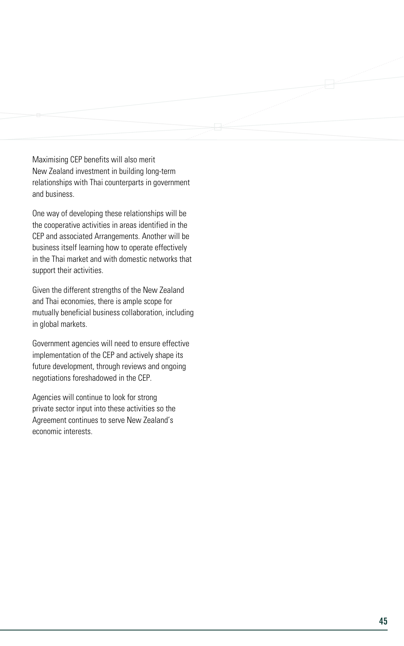Maximising CEP benefits will also merit New Zealand investment in building long-term relationships with Thai counterparts in government and business.

One way of developing these relationships will be the cooperative activities in areas identified in the CEP and associated Arrangements. Another will be business itself learning how to operate effectively in the Thai market and with domestic networks that support their activities.

Given the different strengths of the New Zealand and Thai economies, there is ample scope for mutually beneficial business collaboration, including in global markets.

Government agencies will need to ensure effective implementation of the CEP and actively shape its future development, through reviews and ongoing negotiations foreshadowed in the CEP.

Agencies will continue to look for strong private sector input into these activities so the Agreement continues to serve New Zealand's economic interests.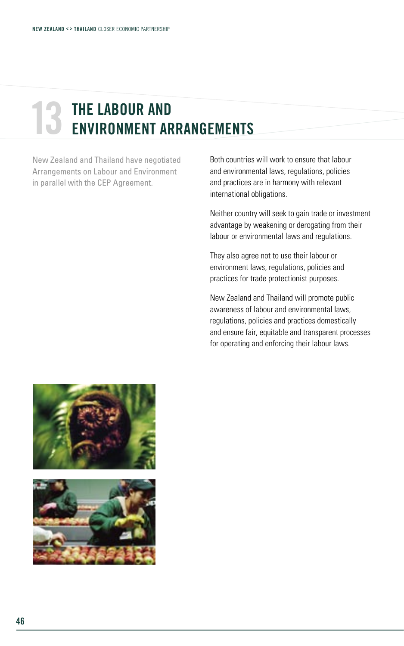# **THE LABOUR AND 13 ENVIRONMENT ARRANGEMENTS**

New Zealand and Thailand have negotiated Arrangements on Labour and Environment in parallel with the CEP Agreement.

Both countries will work to ensure that labour and environmental laws, regulations, policies and practices are in harmony with relevant international obligations.

Neither country will seek to gain trade or investment advantage by weakening or derogating from their labour or environmental laws and regulations.

They also agree not to use their labour or environment laws, regulations, policies and practices for trade protectionist purposes.

New Zealand and Thailand will promote public awareness of labour and environmental laws, regulations, policies and practices domestically and ensure fair, equitable and transparent processes for operating and enforcing their labour laws.



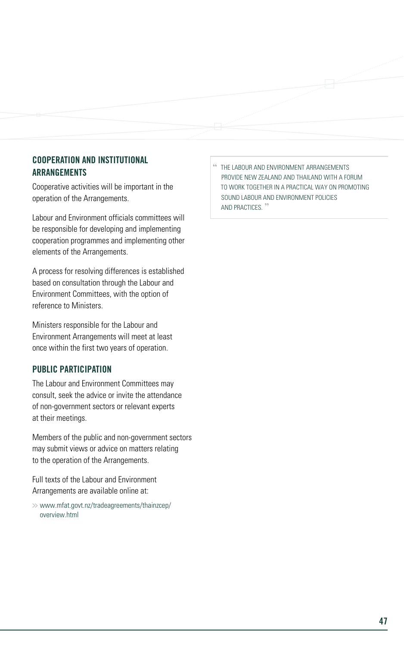### **" COOPERATION AND INSTITUTIONAL ARRANGEMENTS**

Cooperative activities will be important in the operation of the Arrangements.

Labour and Environment officials committees will be responsible for developing and implementing cooperation programmes and implementing other elements of the Arrangements.

A process for resolving differences is established based on consultation through the Labour and Environment Committees, with the option of reference to Ministers.

Ministers responsible for the Labour and Environment Arrangements will meet at least once within the first two years of operation.

### **PUBLIC PARTICIPATION**

The Labour and Environment Committees may consult, seek the advice or invite the attendance of non-government sectors or relevant experts at their meetings.

Members of the public and non-government sectors may submit views or advice on matters relating to the operation of the Arrangements.

Full texts of the Labour and Environment Arrangements are available online at:

>> www.mfat.govt.nz/tradeagreements/thainzcep/ overview.html

**66 THE LABOUR AND ENVIRONMENT ARRANGEMENTS** PROVIDE NEW ZEALAND AND THAILAND WITH A FORUM TO WORK TOGETHER IN A PRACTICAL WAY ON PROMOTING SOUND LABOUR AND ENVIRONMENT POLICIES AND PRACTICES. **"**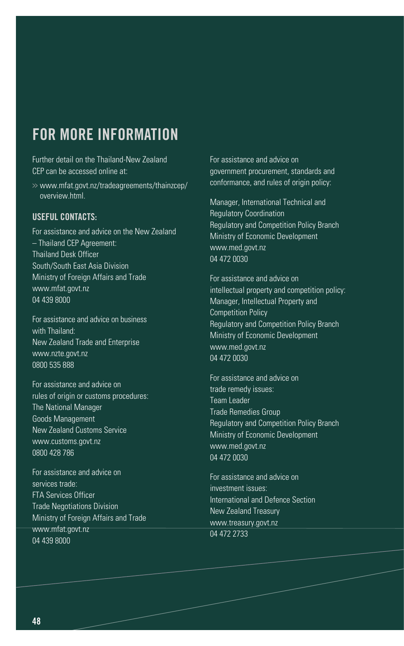### **FOR MORE INFORMATION**

Further detail on the Thailand-New Zealand CEP can be accessed online at:

>> www.mfat.govt.nz/tradeagreements/thainzcep/ overview.html.

### **USEFUL CONTACTS:**

For assistance and advice on the New Zealand – Thailand CEP Agreement: Thailand Desk Officer South/South East Asia Division Ministry of Foreign Affairs and Trade www.mfat.govt.nz 04 439 8000

For assistance and advice on business with Thailand: New Zealand Trade and Enterprise www.nzte.govt.nz 0800 535 888

For assistance and advice on rules of origin or customs procedures: The National Manager Goods Management New Zealand Customs Service www.customs.govt.nz 0800 428 786

For assistance and advice on services trade: FTA Services Officer Trade Negotiations Division Ministry of Foreign Affairs and Trade www.mfat.govt.nz 04 439 8000

For assistance and advice on government procurement, standards and conformance, and rules of origin policy:

Manager, International Technical and Regulatory Coordination Regulatory and Competition Policy Branch Ministry of Economic Development www.med.govt.nz 04 472 0030

For assistance and advice on intellectual property and competition policy: Manager, Intellectual Property and Competition Policy Regulatory and Competition Policy Branch Ministry of Economic Development www.med.govt.nz 04 472 0030

For assistance and advice on trade remedy issues: Team Leader Trade Remedies Group Regulatory and Competition Policy Branch Ministry of Economic Development www.med.govt.nz 04 472 0030

For assistance and advice on investment issues: International and Defence Section New Zealand Treasury www.treasury.govt.nz 04 472 2733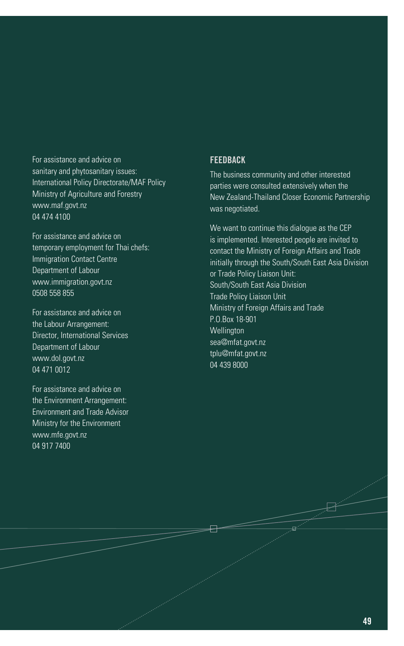For assistance and advice on sanitary and phytosanitary issues: International Policy Directorate/MAF Policy Ministry of Agriculture and Forestry www.maf.govt.nz 04 474 4100

For assistance and advice on temporary employment for Thai chefs: Immigration Contact Centre Department of Labour www.immigration.govt.nz 0508 558 855

For assistance and advice on the Labour Arrangement: Director, International Services Department of Labour www.dol.govt.nz 04 471 0012

For assistance and advice on the Environment Arrangement: Environment and Trade Advisor Ministry for the Environment www.mfe.govt.nz 04 917 7400

### **FEEDBACK**

The business community and other interested parties were consulted extensively when the New Zealand-Thailand Closer Economic Partnership was negotiated.

We want to continue this dialogue as the CEP is implemented. Interested people are invited to contact the Ministry of Foreign Affairs and Trade initially through the South/South East Asia Division or Trade Policy Liaison Unit: South/South East Asia Division Trade Policy Liaison Unit Ministry of Foreign Affairs and Trade P.O.Box 18-901 **Wellington** sea@mfat.govt.nz tplu@mfat.govt.nz 04 439 8000

戸